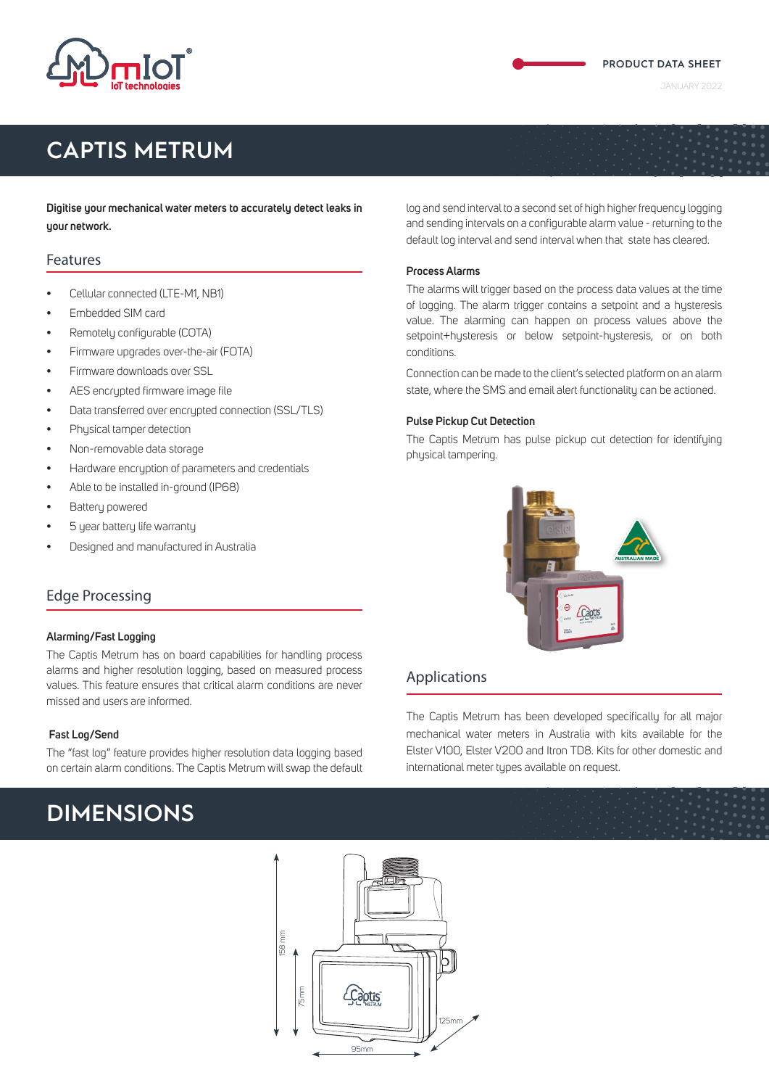

## **CAPTIS METRUM**

**Digitise your mechanical water meters to accurately detect leaks in your network.**

### Features

- Cellular connected (LTE-M1, NB1)
- Embedded SIM card
- Remotely configurable (COTA)
- Firmware upgrades over-the-air (FOTA)
- Firmware downloads over SSL
- AES encrupted firmware image file
- Data transferred over encrypted connection (SSL/TLS)
- Physical tamper detection
- Non-removable data storage
- Hardware encryption of parameters and credentials
- Able to be installed in-ground (IP68)
- Battery powered
- 5 year battery life warranty
- Designed and manufactured in Australia

### Edge Processing

### **Alarming/Fast Logging**

The Captis Metrum has on board capabilities for handling process alarms and higher resolution logging, based on measured process values. This feature ensures that critical alarm conditions are never missed and users are informed.

### **Fast Log/Send**

The "fast log" feature provides higher resolution data logging based on certain alarm conditions. The Captis Metrum will swap the default

## **DIMENSIONS**

log and send interval to a second set of high higher frequency logging and sending intervals on a configurable alarm value - returning to the default log interval and send interval when that state has cleared.

### **Process Alarms**

The alarms will trigger based on the process data values at the time of logging. The alarm trigger contains a setpoint and a hysteresis value. The alarming can happen on process values above the setpoint+hysteresis or below setpoint-hysteresis, or on both conditions.

Connection can be made to the client's selected platform on an alarm state, where the SMS and email alert functionality can be actioned.

### **Pulse Pickup Cut Detection**

The Captis Metrum has pulse pickup cut detection for identifying physical tampering.



### Applications

The Captis Metrum has been developed specifically for all major mechanical water meters in Australia with kits available for the Elster V100, Elster V200 and Itron TD8. Kits for other domestic and international meter types available on request.